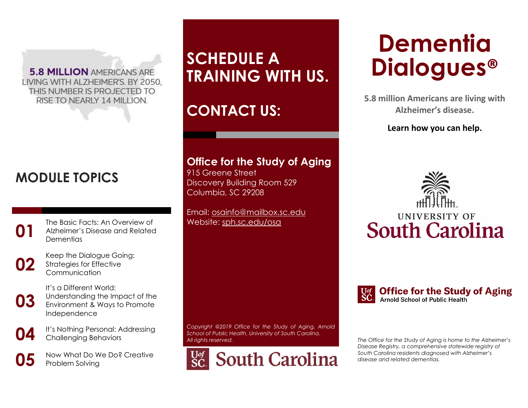**5.8 MILLION AMERICANS ARE** LIVING WITH ALZHEIMER'S. BY 2050, THIS NUMBER IS PROJECTED TO RISE TO NEARLY 14 MILLION.

## **MODULE TOPICS**

The Basic Facts: An Overview of<br>Alzheimer's Disease and Related<br>Dementias Alzheimer's Disease and Related **Dementias** 



**02** Keep the Dialogue Going: Strategies for Effective Communication

**03** It's a Different World: Understanding the Impact of the Environment & Ways to Promote Independence

**04** It's Nothing Personal: Addressing Challenging Behaviors

**05** Now What Do We Do? Creative Problem Solving

# **SCHEDULE A TRAINING WITH US.**

## **CONTACT US:**

#### **Office for the Study of Aging**

915 Greene Street Discovery Building Room 529 Columbia, SC 29208

Email: [osainfo@mailbox.sc.edu](mailto:osainfo@mailbox.sc.edu) Website: [sph.sc.edu/osa](https://sph.sc.edu/osa)

*Copyright @2019 Office for the Study of Aging, Arnold School of Public Health, University of South Carolina. All rights reserved.*



# **Dementia Dialogues®**

**5.8 million Americans are living with Alzheimer's disease.**

#### **Learn how you can help.**





#### **Office for the Study of Aging** Arnold School of Public Health

*The Office for the Study of Aging is home to the Alzheimer's Disease Registry, a comprehensive statewide registry of South Carolina residents diagnosed with Alzheimer's disease and related dementias.*